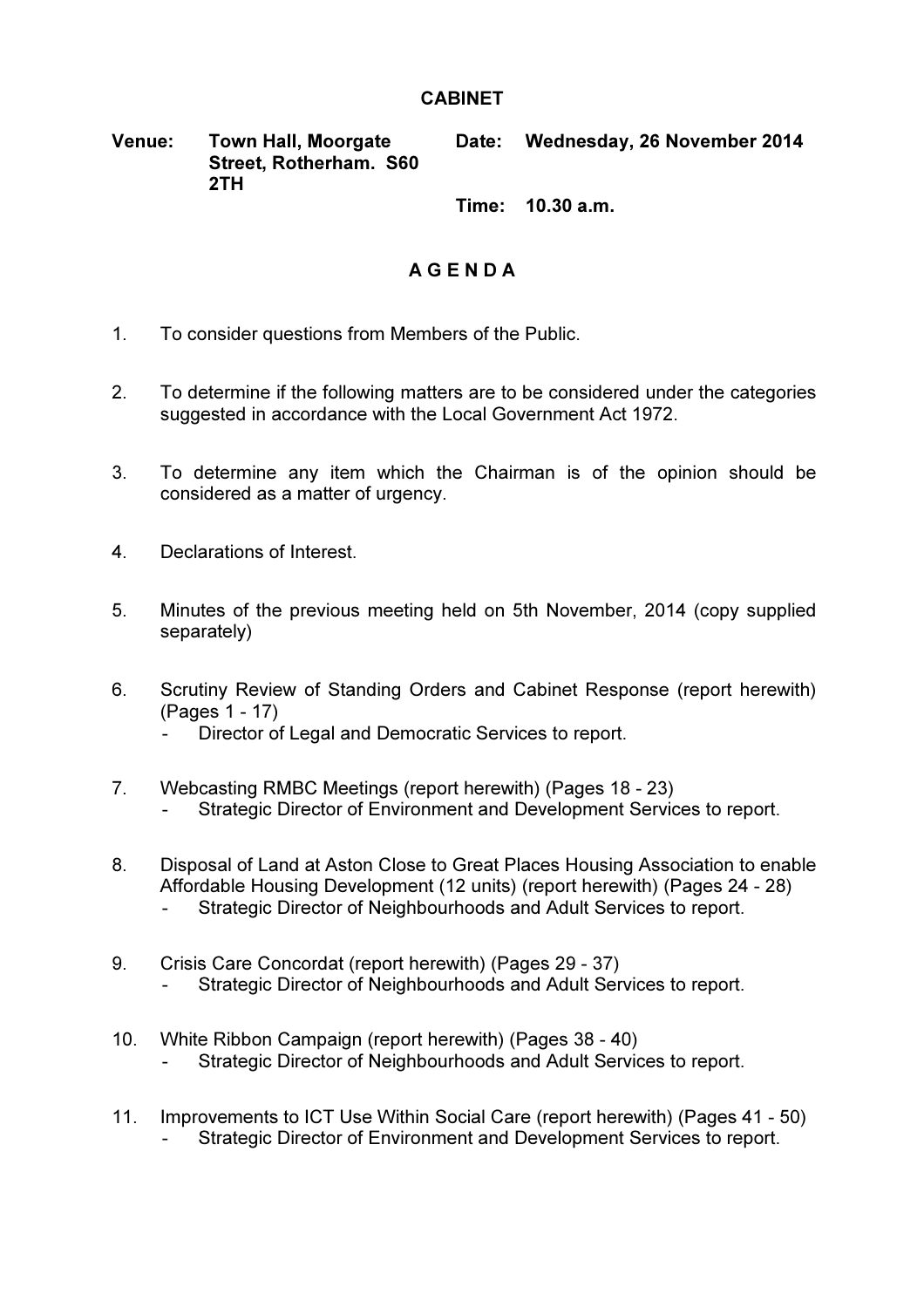## CABINET

## Venue: Town Hall, Moorgate Street, Rotherham. S60 2TH Date: Wednesday, 26 November 2014

Time: 10.30 a.m.

## A G E N D A

- 1. To consider questions from Members of the Public.
- 2. To determine if the following matters are to be considered under the categories suggested in accordance with the Local Government Act 1972.
- 3. To determine any item which the Chairman is of the opinion should be considered as a matter of urgency.
- 4. Declarations of Interest.
- 5. Minutes of the previous meeting held on 5th November, 2014 (copy supplied separately)
- 6. Scrutiny Review of Standing Orders and Cabinet Response (report herewith) (Pages 1 - 17)
	- Director of Legal and Democratic Services to report.
- 7. Webcasting RMBC Meetings (report herewith) (Pages 18 23) Strategic Director of Environment and Development Services to report.
- 8. Disposal of Land at Aston Close to Great Places Housing Association to enable Affordable Housing Development (12 units) (report herewith) (Pages 24 - 28) Strategic Director of Neighbourhoods and Adult Services to report.
- 9. Crisis Care Concordat (report herewith) (Pages 29 37) Strategic Director of Neighbourhoods and Adult Services to report.
- 10. White Ribbon Campaign (report herewith) (Pages 38 40) Strategic Director of Neighbourhoods and Adult Services to report.
- 11. Improvements to ICT Use Within Social Care (report herewith) (Pages 41 50) Strategic Director of Environment and Development Services to report.